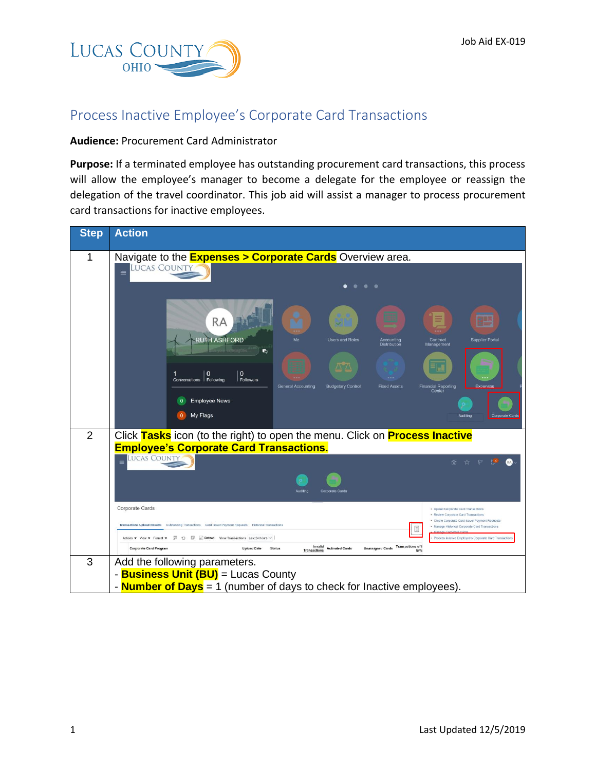

## Process Inactive Employee's Corporate Card Transactions

## **Audience:** Procurement Card Administrator

**Purpose:** If a terminated employee has outstanding procurement card transactions, this process will allow the employee's manager to become a delegate for the employee or reassign the delegation of the travel coordinator. This job aid will assist a manager to process procurement card transactions for inactive employees.

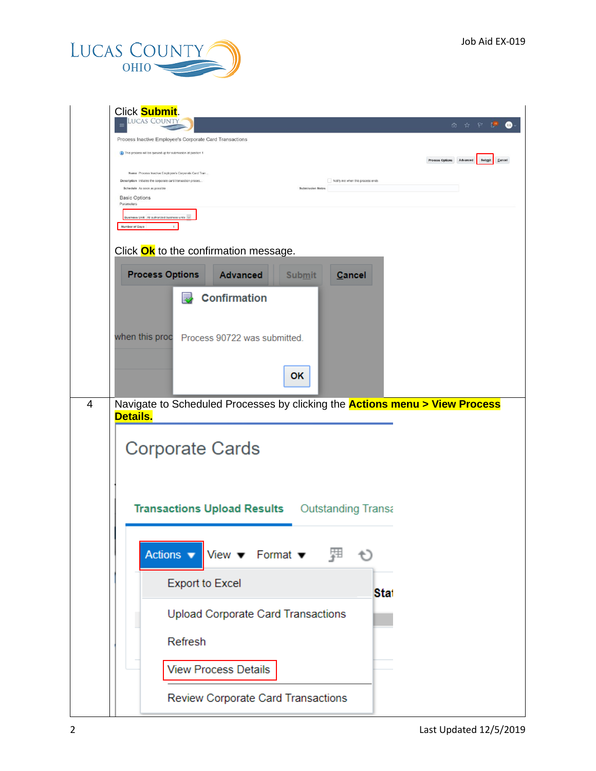

| Click <b>Submit</b> .<br>ucas Count                                                                                                                                                                                  |                                              |
|----------------------------------------------------------------------------------------------------------------------------------------------------------------------------------------------------------------------|----------------------------------------------|
| Process Inactive Employee's Corporate Card Transactions                                                                                                                                                              | 血 ☆ や<br>$\mathbb{R}^{30}$                   |
| (1) This process will be queued up for submission at position 1                                                                                                                                                      |                                              |
|                                                                                                                                                                                                                      | Process Options Advanced<br>Submit<br>Cancel |
| Name Process Inactive Employee's Corporate Card Tran.<br>Description Initiates the corporate card transaction proces.<br>Notify me when this process ends<br>Schedule As soon as possible<br><b>Submission Notes</b> |                                              |
| <b>Basic Options</b><br>Parameters                                                                                                                                                                                   |                                              |
| Business Unit All authorized business units                                                                                                                                                                          |                                              |
| Number of Days                                                                                                                                                                                                       |                                              |
| Click Ok to the confirmation message.                                                                                                                                                                                |                                              |
| <b>Process Options</b><br><b>Advanced</b><br><b>Submit</b><br><b>Cancel</b>                                                                                                                                          |                                              |
|                                                                                                                                                                                                                      |                                              |
| <b>Confirmation</b>                                                                                                                                                                                                  |                                              |
|                                                                                                                                                                                                                      |                                              |
| when this proc Process 90722 was submitted.                                                                                                                                                                          |                                              |
|                                                                                                                                                                                                                      |                                              |
| OK                                                                                                                                                                                                                   |                                              |
|                                                                                                                                                                                                                      |                                              |
| Navigate to Scheduled Processes by clicking the <b>Actions menu &gt; View Process</b><br>4                                                                                                                           |                                              |
| <b>Details.</b>                                                                                                                                                                                                      |                                              |
| <b>Corporate Cards</b>                                                                                                                                                                                               |                                              |
|                                                                                                                                                                                                                      |                                              |
|                                                                                                                                                                                                                      |                                              |
|                                                                                                                                                                                                                      |                                              |
| <b>Transactions Upload Results</b> Outstanding Transa                                                                                                                                                                |                                              |
|                                                                                                                                                                                                                      |                                              |
| Actions $\bullet$ View $\bullet$ Format $\bullet$ $\quad$<br>$\leftrightarrow$                                                                                                                                       |                                              |
|                                                                                                                                                                                                                      |                                              |
| <b>Export to Excel</b><br><b>Stat</b>                                                                                                                                                                                |                                              |
|                                                                                                                                                                                                                      |                                              |
| Upload Corporate Card Transactions                                                                                                                                                                                   |                                              |
| Refresh                                                                                                                                                                                                              |                                              |
|                                                                                                                                                                                                                      |                                              |
| <b>View Process Details</b>                                                                                                                                                                                          |                                              |
|                                                                                                                                                                                                                      |                                              |
| Review Corporate Card Transactions                                                                                                                                                                                   |                                              |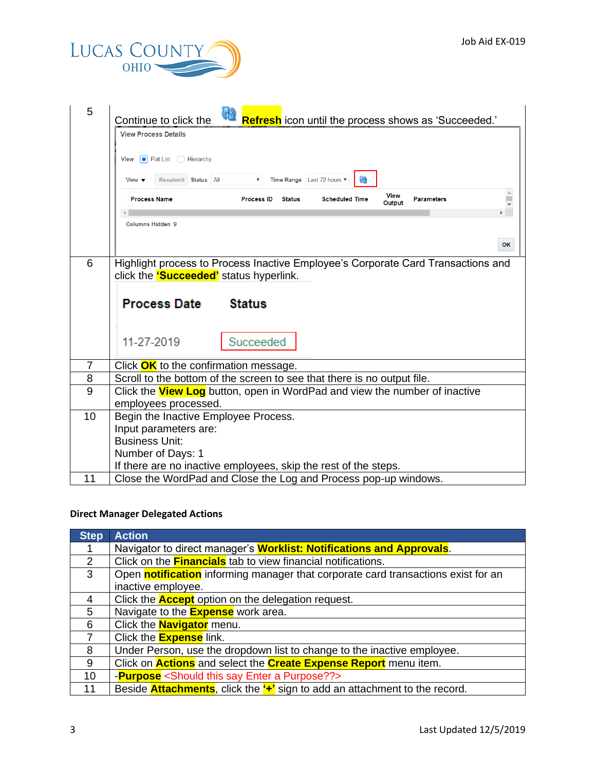

| 5              | မြာ<br>Refresh icon until the process shows as 'Succeeded.'<br>Continue to click the                                               |
|----------------|------------------------------------------------------------------------------------------------------------------------------------|
|                | <b>View Process Details</b>                                                                                                        |
|                | $\bullet$ Flat List $\circ$ Hierarchy<br>View                                                                                      |
|                |                                                                                                                                    |
|                | <u>କ୍ର</u><br>Last 72 hours ▼<br>Resubmit Status All<br><b>Time Range</b><br>View $\blacktriangledown$                             |
|                | <b>View</b><br><b>Process Name</b><br><b>Scheduled Time</b><br><b>Parameters</b><br><b>Process ID</b><br><b>Status</b><br>Output   |
|                | Columns Hidden 9                                                                                                                   |
|                |                                                                                                                                    |
|                | OK                                                                                                                                 |
| 6              | Highlight process to Process Inactive Employee's Corporate Card Transactions and                                                   |
|                | click the <b>'Succeeded'</b> status hyperlink.                                                                                     |
|                |                                                                                                                                    |
|                |                                                                                                                                    |
|                | <b>Process Date</b><br><b>Status</b>                                                                                               |
|                |                                                                                                                                    |
|                | 11-27-2019                                                                                                                         |
|                | Succeeded                                                                                                                          |
| $\overline{7}$ | Click OK to the confirmation message.                                                                                              |
| 8              | Scroll to the bottom of the screen to see that there is no output file.                                                            |
| 9              | Click the <b>View Log</b> button, open in WordPad and view the number of inactive                                                  |
|                | employees processed.                                                                                                               |
| 10             | Begin the Inactive Employee Process.                                                                                               |
|                | Input parameters are:                                                                                                              |
|                | <b>Business Unit:</b>                                                                                                              |
|                | Number of Days: 1                                                                                                                  |
| 11             | If there are no inactive employees, skip the rest of the steps.<br>Close the WordPad and Close the Log and Process pop-up windows. |

## **Direct Manager Delegated Actions**

| <b>Step</b>    | <b>Action</b>                                                                                   |
|----------------|-------------------------------------------------------------------------------------------------|
|                | Navigator to direct manager's <b>Worklist: Notifications and Approvals</b> .                    |
| $\overline{2}$ | Click on the <b>Financials</b> tab to view financial notifications.                             |
| $\mathbf{3}$   | Open <b>notification</b> informing manager that corporate card transactions exist for an        |
|                | inactive employee.                                                                              |
| 4              | Click the <b>Accept</b> option on the delegation request.                                       |
| 5              | Navigate to the <b>Expense</b> work area.                                                       |
| 6              | Click the <b>Navigator</b> menu.                                                                |
| $\overline{7}$ | Click the <b>Expense</b> link.                                                                  |
| 8              | Under Person, use the dropdown list to change to the inactive employee.                         |
| 9              | Click on <b>Actions</b> and select the <b>Create Expense Report</b> menu item.                  |
| 10             | - <b>Purpose</b> <should a="" enter="" purpose??="" say="" this=""></should>                    |
| 11             | Beside <b>Attachments</b> , click the " <sup>+</sup> " sign to add an attachment to the record. |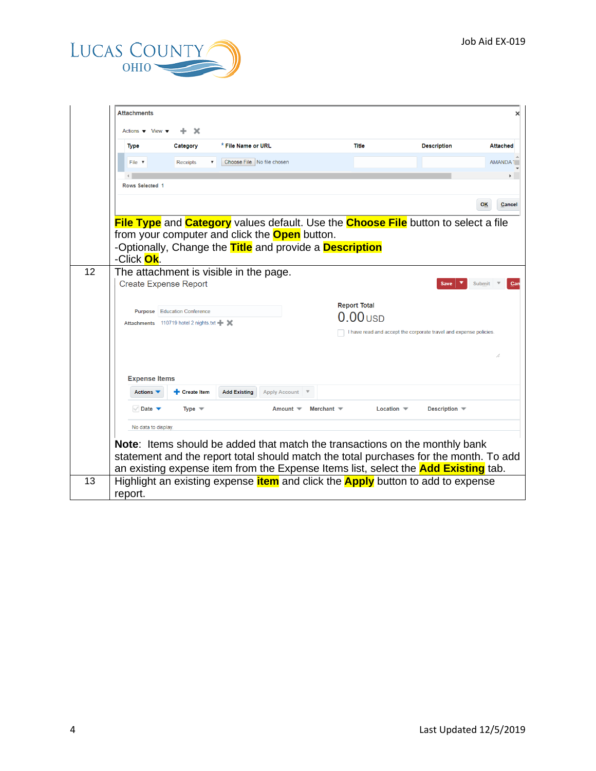

|    | <b>Attachments</b>                                    |                                           |                                                      |                      |                                                         |                                                                                                         |                     |
|----|-------------------------------------------------------|-------------------------------------------|------------------------------------------------------|----------------------|---------------------------------------------------------|---------------------------------------------------------------------------------------------------------|---------------------|
|    | Actions ▼ View ▼                                      | x                                         |                                                      |                      |                                                         |                                                                                                         |                     |
|    | <b>Type</b>                                           | Category                                  | * File Name or URL                                   |                      | Title                                                   | <b>Description</b>                                                                                      | <b>Attached</b>     |
|    | File v                                                | <b>Receipts</b>                           | Choose File No file chosen                           |                      |                                                         |                                                                                                         | AMANDA <sup>1</sup> |
|    | $\left\langle \cdot \right\rangle$<br>Rows Selected 1 |                                           |                                                      |                      |                                                         |                                                                                                         | k                   |
|    |                                                       |                                           |                                                      |                      |                                                         |                                                                                                         |                     |
|    |                                                       |                                           |                                                      |                      |                                                         |                                                                                                         | <b>OK</b><br>Cancel |
|    |                                                       |                                           |                                                      |                      |                                                         | <b>File Type</b> and <b>Category</b> values default. Use the <b>Choose File</b> button to select a file |                     |
|    |                                                       |                                           | from your computer and click the <b>Open</b> button. |                      |                                                         |                                                                                                         |                     |
|    | -Click Ok.                                            |                                           |                                                      |                      | -Optionally, Change the Title and provide a Description |                                                                                                         |                     |
| 12 |                                                       |                                           | The attachment is visible in the page.               |                      |                                                         |                                                                                                         |                     |
|    | <b>Create Expense Report</b>                          |                                           |                                                      |                      |                                                         | Save                                                                                                    | <b>Submit</b>       |
|    |                                                       |                                           |                                                      |                      |                                                         |                                                                                                         |                     |
|    | Purpose                                               | <b>Education Conference</b>               |                                                      |                      | <b>Report Total</b><br>$.00$ usd                        |                                                                                                         |                     |
|    |                                                       | Attachments 110719 hotel 2 nights.txt + X |                                                      |                      |                                                         | I have read and accept the corporate travel and expense policies.                                       |                     |
|    |                                                       |                                           |                                                      |                      |                                                         |                                                                                                         |                     |
|    |                                                       |                                           |                                                      |                      |                                                         |                                                                                                         | //                  |
|    |                                                       |                                           |                                                      |                      |                                                         |                                                                                                         |                     |
|    | <b>Expense Items</b><br><b>Actions ▼</b>              | + Create Item                             | <b>Add Existing</b>                                  | <b>Apply Account</b> |                                                         |                                                                                                         |                     |
|    |                                                       |                                           |                                                      |                      |                                                         |                                                                                                         |                     |
|    | Date $\blacktriangledown$                             | Type $\blacktriangledown$                 |                                                      | Amount <b>▼</b>      | Merchant $\equiv$                                       | Description –<br>Location $\blacktriangledown$                                                          |                     |
|    | No data to display.                                   |                                           |                                                      |                      |                                                         |                                                                                                         |                     |
|    |                                                       |                                           |                                                      |                      |                                                         | Note: Items should be added that match the transactions on the monthly bank                             |                     |
|    |                                                       |                                           |                                                      |                      |                                                         | statement and the report total should match the total purchases for the month. To add                   |                     |
|    |                                                       |                                           |                                                      |                      |                                                         | an existing expense item from the Expense Items list, select the <b>Add Existing</b> tab.               |                     |
| 13 |                                                       |                                           |                                                      |                      |                                                         | Highlight an existing expense <i>item</i> and click the <b>Apply</b> button to add to expense           |                     |
|    | report.                                               |                                           |                                                      |                      |                                                         |                                                                                                         |                     |